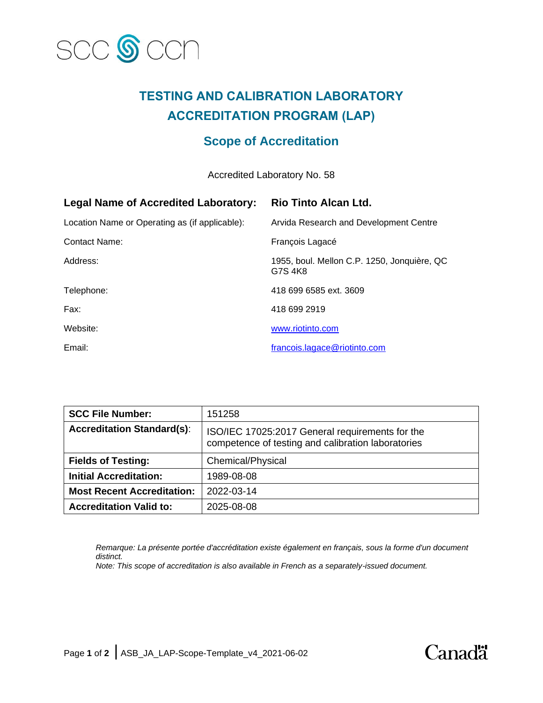

# **TESTING AND CALIBRATION LABORATORY ACCREDITATION PROGRAM (LAP)**

## **Scope of Accreditation**

Accredited Laboratory No. 58

| <b>Legal Name of Accredited Laboratory:</b>    | <b>Rio Tinto Alcan Ltd.</b>                            |
|------------------------------------------------|--------------------------------------------------------|
| Location Name or Operating as (if applicable): | Arvida Research and Development Centre                 |
| Contact Name:                                  | François Lagacé                                        |
| Address:                                       | 1955, boul. Mellon C.P. 1250, Jonquière, QC<br>G7S 4K8 |
| Telephone:                                     | 418 699 6585 ext. 3609                                 |
| Fax:                                           | 418 699 2919                                           |
| Website:                                       | www.riotinto.com                                       |
| Email:                                         | francois.lagace@riotinto.com                           |

| <b>SCC File Number:</b>           | 151258                                                                                                |
|-----------------------------------|-------------------------------------------------------------------------------------------------------|
| <b>Accreditation Standard(s):</b> | ISO/IEC 17025:2017 General requirements for the<br>competence of testing and calibration laboratories |
| <b>Fields of Testing:</b>         | Chemical/Physical                                                                                     |
| <b>Initial Accreditation:</b>     | 1989-08-08                                                                                            |
| <b>Most Recent Accreditation:</b> | 2022-03-14                                                                                            |
| <b>Accreditation Valid to:</b>    | 2025-08-08                                                                                            |

*Remarque: La présente portée d'accréditation existe également en français, sous la forme d'un document distinct.*

*Note: This scope of accreditation is also available in French as a separately-issued document.*